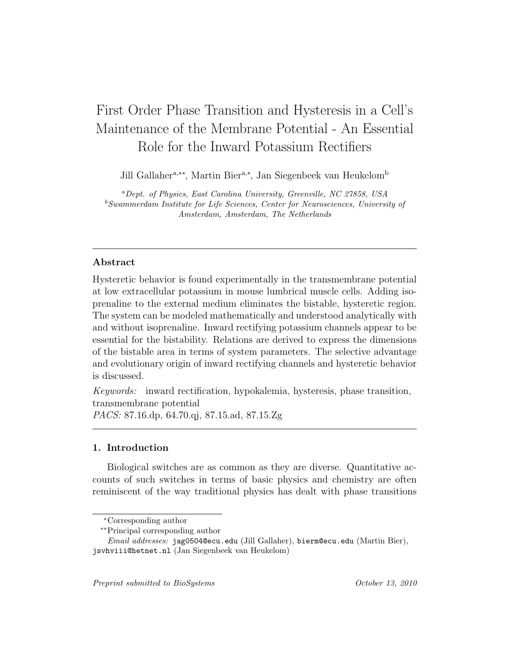# First Order Phase Transition and Hysteresis in a Cell's Maintenance of the Membrane Potential - An Essential Role for the Inward Potassium Rectifiers

Jill Gallaher<sup>a,∗∗</sup>, Martin Bier<sup>a,∗</sup>, Jan Siegenbeek van Heukelom<sup>b</sup>

<sup>a</sup>Dept. of Physics, East Carolina University, Greenville, NC 27858, USA <sup>b</sup>Swammerdam Institute for Life Sciences, Center for Neurosciences, University of Amsterdam, Amsterdam, The Netherlands

## Abstract

Hysteretic behavior is found experimentally in the transmembrane potential at low extracellular potassium in mouse lumbrical muscle cells. Adding isoprenaline to the external medium eliminates the bistable, hysteretic region. The system can be modeled mathematically and understood analytically with and without isoprenaline. Inward rectifying potassium channels appear to be essential for the bistability. Relations are derived to express the dimensions of the bistable area in terms of system parameters. The selective advantage and evolutionary origin of inward rectifying channels and hysteretic behavior is discussed.

Keywords: inward rectification, hypokalemia, hysteresis, phase transition, transmembrane potential PACS: 87.16.dp, 64.70.qj, 87.15.ad, 87.15.Zg

## 1. Introduction

Biological switches are as common as they are diverse. Quantitative accounts of such switches in terms of basic physics and chemistry are often reminiscent of the way traditional physics has dealt with phase transitions

Preprint submitted to BioSystems  $October 13, 2010$ 

<sup>∗</sup>Corresponding author

<sup>∗∗</sup>Principal corresponding author

Email addresses: jag0504@ecu.edu (Jill Gallaher), bierm@ecu.edu (Martin Bier), jsvhviii@hetnet.nl (Jan Siegenbeek van Heukelom)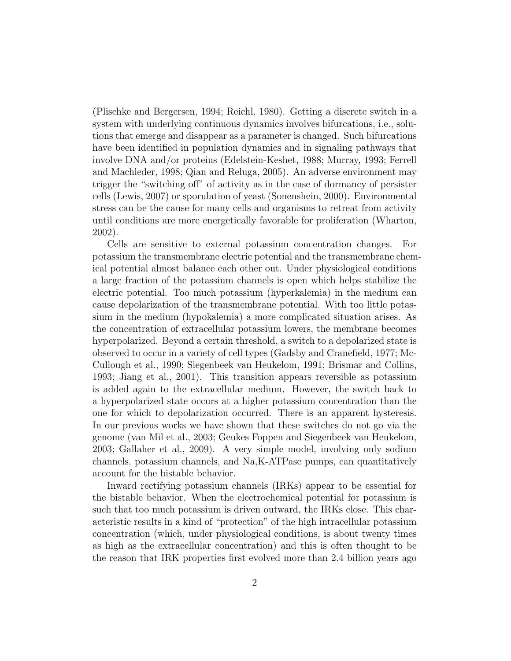(Plischke and Bergersen, 1994; Reichl, 1980). Getting a discrete switch in a system with underlying continuous dynamics involves bifurcations, i.e., solutions that emerge and disappear as a parameter is changed. Such bifurcations have been identified in population dynamics and in signaling pathways that involve DNA and/or proteins (Edelstein-Keshet, 1988; Murray, 1993; Ferrell and Machleder, 1998; Qian and Reluga, 2005). An adverse environment may trigger the "switching off" of activity as in the case of dormancy of persister cells (Lewis, 2007) or sporulation of yeast (Sonenshein, 2000). Environmental stress can be the cause for many cells and organisms to retreat from activity until conditions are more energetically favorable for proliferation (Wharton, 2002).

Cells are sensitive to external potassium concentration changes. For potassium the transmembrane electric potential and the transmembrane chemical potential almost balance each other out. Under physiological conditions a large fraction of the potassium channels is open which helps stabilize the electric potential. Too much potassium (hyperkalemia) in the medium can cause depolarization of the transmembrane potential. With too little potassium in the medium (hypokalemia) a more complicated situation arises. As the concentration of extracellular potassium lowers, the membrane becomes hyperpolarized. Beyond a certain threshold, a switch to a depolarized state is observed to occur in a variety of cell types (Gadsby and Cranefield, 1977; Mc-Cullough et al., 1990; Siegenbeek van Heukelom, 1991; Brismar and Collins, 1993; Jiang et al., 2001). This transition appears reversible as potassium is added again to the extracellular medium. However, the switch back to a hyperpolarized state occurs at a higher potassium concentration than the one for which to depolarization occurred. There is an apparent hysteresis. In our previous works we have shown that these switches do not go via the genome (van Mil et al., 2003; Geukes Foppen and Siegenbeek van Heukelom, 2003; Gallaher et al., 2009). A very simple model, involving only sodium channels, potassium channels, and Na,K-ATPase pumps, can quantitatively account for the bistable behavior.

Inward rectifying potassium channels (IRKs) appear to be essential for the bistable behavior. When the electrochemical potential for potassium is such that too much potassium is driven outward, the IRKs close. This characteristic results in a kind of "protection" of the high intracellular potassium concentration (which, under physiological conditions, is about twenty times as high as the extracellular concentration) and this is often thought to be the reason that IRK properties first evolved more than 2.4 billion years ago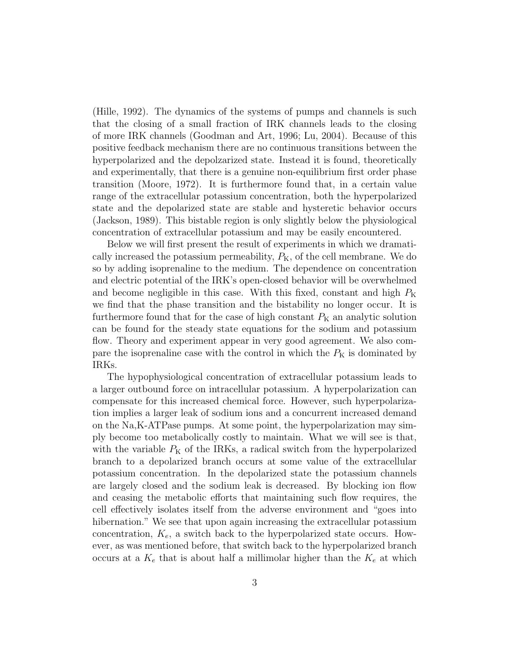(Hille, 1992). The dynamics of the systems of pumps and channels is such that the closing of a small fraction of IRK channels leads to the closing of more IRK channels (Goodman and Art, 1996; Lu, 2004). Because of this positive feedback mechanism there are no continuous transitions between the hyperpolarized and the depolzarized state. Instead it is found, theoretically and experimentally, that there is a genuine non-equilibrium first order phase transition (Moore, 1972). It is furthermore found that, in a certain value range of the extracellular potassium concentration, both the hyperpolarized state and the depolarized state are stable and hysteretic behavior occurs (Jackson, 1989). This bistable region is only slightly below the physiological concentration of extracellular potassium and may be easily encountered.

Below we will first present the result of experiments in which we dramatically increased the potassium permeability,  $P_{K}$ , of the cell membrane. We do so by adding isoprenaline to the medium. The dependence on concentration and electric potential of the IRK's open-closed behavior will be overwhelmed and become negligible in this case. With this fixed, constant and high  $P_{\rm K}$ we find that the phase transition and the bistability no longer occur. It is furthermore found that for the case of high constant  $P<sub>K</sub>$  an analytic solution can be found for the steady state equations for the sodium and potassium flow. Theory and experiment appear in very good agreement. We also compare the isoprenaline case with the control in which the  $P<sub>K</sub>$  is dominated by IRKs.

The hypophysiological concentration of extracellular potassium leads to a larger outbound force on intracellular potassium. A hyperpolarization can compensate for this increased chemical force. However, such hyperpolarization implies a larger leak of sodium ions and a concurrent increased demand on the Na,K-ATPase pumps. At some point, the hyperpolarization may simply become too metabolically costly to maintain. What we will see is that, with the variable  $P_{\rm K}$  of the IRKs, a radical switch from the hyperpolarized branch to a depolarized branch occurs at some value of the extracellular potassium concentration. In the depolarized state the potassium channels are largely closed and the sodium leak is decreased. By blocking ion flow and ceasing the metabolic efforts that maintaining such flow requires, the cell effectively isolates itself from the adverse environment and "goes into hibernation." We see that upon again increasing the extracellular potassium concentration,  $K_e$ , a switch back to the hyperpolarized state occurs. However, as was mentioned before, that switch back to the hyperpolarized branch occurs at a  $K_e$  that is about half a millimolar higher than the  $K_e$  at which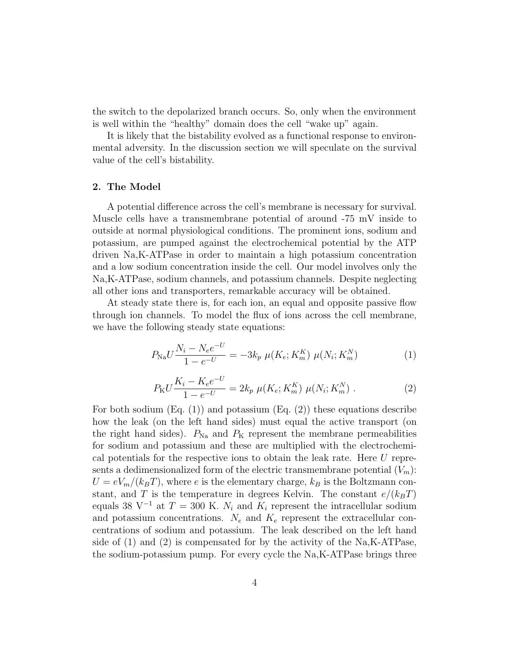the switch to the depolarized branch occurs. So, only when the environment is well within the "healthy" domain does the cell "wake up" again.

It is likely that the bistability evolved as a functional response to environmental adversity. In the discussion section we will speculate on the survival value of the cell's bistability.

#### 2. The Model

A potential difference across the cell's membrane is necessary for survival. Muscle cells have a transmembrane potential of around -75 mV inside to outside at normal physiological conditions. The prominent ions, sodium and potassium, are pumped against the electrochemical potential by the ATP driven Na,K-ATPase in order to maintain a high potassium concentration and a low sodium concentration inside the cell. Our model involves only the Na,K-ATPase, sodium channels, and potassium channels. Despite neglecting all other ions and transporters, remarkable accuracy will be obtained.

At steady state there is, for each ion, an equal and opposite passive flow through ion channels. To model the flux of ions across the cell membrane, we have the following steady state equations:

$$
P_{\text{Na}}U\frac{N_i - N_e e^{-U}}{1 - e^{-U}} = -3k_p \mu(K_e; K_m^K) \mu(N_i; K_m^N)
$$
 (1)

$$
P_{\rm K} U \frac{K_i - K_e e^{-U}}{1 - e^{-U}} = 2k_p \mu(K_e; K_m^K) \mu(N_i; K_m^N) \ . \tag{2}
$$

For both sodium  $(Eq. (1))$  and potassium  $(Eq. (2))$  these equations describe how the leak (on the left hand sides) must equal the active transport (on the right hand sides).  $P_{\text{Na}}$  and  $P_{\text{K}}$  represent the membrane permeabilities for sodium and potassium and these are multiplied with the electrochemical potentials for the respective ions to obtain the leak rate. Here U represents a dedimensionalized form of the electric transmembrane potential  $(V_m)$ :  $U = eV_m/(k_BT)$ , where e is the elementary charge,  $k_B$  is the Boltzmann constant, and T is the temperature in degrees Kelvin. The constant  $e/(k_BT)$ equals 38 V<sup>-1</sup> at  $T = 300$  K.  $N_i$  and  $K_i$  represent the intracellular sodium and potassium concentrations.  $N_e$  and  $K_e$  represent the extracellular concentrations of sodium and potassium. The leak described on the left hand side of  $(1)$  and  $(2)$  is compensated for by the activity of the Na,K-ATPase, the sodium-potassium pump. For every cycle the Na,K-ATPase brings three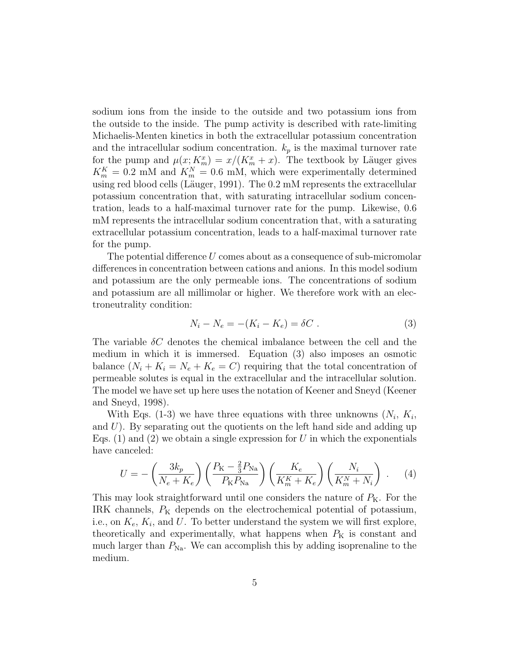sodium ions from the inside to the outside and two potassium ions from the outside to the inside. The pump activity is described with rate-limiting Michaelis-Menten kinetics in both the extracellular potassium concentration and the intracellular sodium concentration.  $k_p$  is the maximal turnover rate for the pump and  $\mu(x; K_m^x) = x/(K_m^x + x)$ . The textbook by Läuger gives  $K_m^K = 0.2$  mM and  $K_m^N = 0.6$  mM, which were experimentally determined using red blood cells (Läuger, 1991). The 0.2 mM represents the extracellular potassium concentration that, with saturating intracellular sodium concentration, leads to a half-maximal turnover rate for the pump. Likewise, 0.6 mM represents the intracellular sodium concentration that, with a saturating extracellular potassium concentration, leads to a half-maximal turnover rate for the pump.

The potential difference  $U$  comes about as a consequence of sub-micromolar differences in concentration between cations and anions. In this model sodium and potassium are the only permeable ions. The concentrations of sodium and potassium are all millimolar or higher. We therefore work with an electroneutrality condition:

$$
N_i - N_e = -(K_i - K_e) = \delta C \tag{3}
$$

The variable  $\delta C$  denotes the chemical imbalance between the cell and the medium in which it is immersed. Equation (3) also imposes an osmotic balance  $(N_i + K_i = N_e + K_e = C)$  requiring that the total concentration of permeable solutes is equal in the extracellular and the intracellular solution. The model we have set up here uses the notation of Keener and Sneyd (Keener and Sneyd, 1998).

With Eqs. (1-3) we have three equations with three unknowns  $(N_i, K_i,$ and  $U$ ). By separating out the quotients on the left hand side and adding up Eqs.  $(1)$  and  $(2)$  we obtain a single expression for U in which the exponentials have canceled:

$$
U = -\left(\frac{3k_p}{N_e + K_e}\right) \left(\frac{P_{\rm K} - \frac{2}{3}P_{\rm Na}}{P_{\rm K}P_{\rm Na}}\right) \left(\frac{K_e}{K_m^K + K_e}\right) \left(\frac{N_i}{K_m^N + N_i}\right) \ . \tag{4}
$$

This may look straightforward until one considers the nature of  $P_{K}$ . For the IRK channels,  $P_K$  depends on the electrochemical potential of potassium, i.e., on  $K_e$ ,  $K_i$ , and U. To better understand the system we will first explore, theoretically and experimentally, what happens when  $P<sub>K</sub>$  is constant and much larger than  $P_{\text{Na}}$ . We can accomplish this by adding isoprenaline to the medium.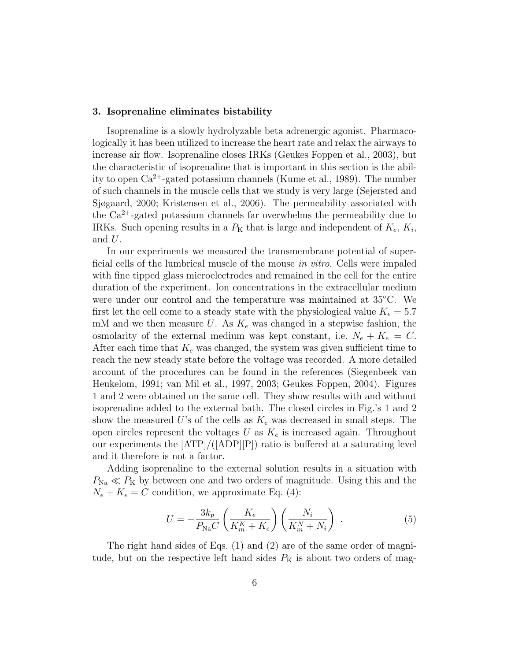#### 3. Isoprenaline eliminates bistability

Isoprenaline is a slowly hydrolyzable beta adrenergic agonist. Pharmacologically it has been utilized to increase the heart rate and relax the airways to increase air flow. Isoprenaline closes IRKs (Geukes Foppen et al., 2003), but the characteristic of isoprenaline that is important in this section is the ability to open  $Ca^{2+}$ -gated potassium channels (Kume et al., 1989). The number of such channels in the muscle cells that we study is very large (Sejersted and Sjøgaard, 2000; Kristensen et al., 2006). The permeability associated with the  $Ca^{2+}$ -gated potassium channels far overwhelms the permeability due to IRKs. Such opening results in a  $P<sub>K</sub>$  that is large and independent of  $K<sub>e</sub>$ ,  $K<sub>i</sub>$ , and  $U$ .

In our experiments we measured the transmembrane potential of superficial cells of the lumbrical muscle of the mouse in vitro. Cells were impaled with fine tipped glass microelectrodes and remained in the cell for the entire duration of the experiment. Ion concentrations in the extracellular medium were under our control and the temperature was maintained at 35◦C. We first let the cell come to a steady state with the physiological value  $K_e = 5.7$ mM and we then measure U. As  $K_e$  was changed in a stepwise fashion, the osmolarity of the external medium was kept constant, i.e.  $N_e + K_e = C$ . After each time that  $K_e$  was changed, the system was given sufficient time to reach the new steady state before the voltage was recorded. A more detailed account of the procedures can be found in the references (Siegenbeek van Heukelom, 1991; van Mil et al., 1997, 2003; Geukes Foppen, 2004). Figures 1 and 2 were obtained on the same cell. They show results with and without isoprenaline added to the external bath. The closed circles in Fig.'s 1 and 2 show the measured U's of the cells as  $K_e$  was decreased in small steps. The open circles represent the voltages U as  $K_e$  is increased again. Throughout our experiments the [ATP]/([ADP][P]) ratio is buffered at a saturating level and it therefore is not a factor.

Adding isoprenaline to the external solution results in a situation with  $P_{\text{Na}} \ll P_{\text{K}}$  by between one and two orders of magnitude. Using this and the  $N_e + K_e = C$  condition, we approximate Eq. (4):

$$
U = -\frac{3k_p}{P_{\text{Na}}C} \left(\frac{K_e}{K_m^K + K_e}\right) \left(\frac{N_i}{K_m^N + N_i}\right) \tag{5}
$$

The right hand sides of Eqs. (1) and (2) are of the same order of magnitude, but on the respective left hand sides  $P<sub>K</sub>$  is about two orders of mag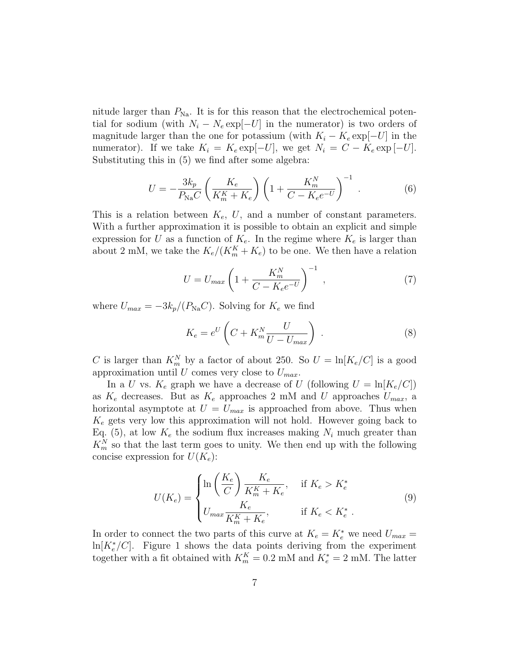nitude larger than  $P_{\text{Na}}$ . It is for this reason that the electrochemical potential for sodium (with  $N_i - N_e \exp[-U]$  in the numerator) is two orders of magnitude larger than the one for potassium (with  $K_i - K_e \exp[-U]$  in the numerator). If we take  $K_i = K_e \exp[-U]$ , we get  $N_i = C - K_e \exp[-U]$ . Substituting this in (5) we find after some algebra:

$$
U = -\frac{3k_p}{P_{\text{Na}}C} \left( \frac{K_e}{K_m^K + K_e} \right) \left( 1 + \frac{K_m^N}{C - K_e e^{-U}} \right)^{-1} . \tag{6}
$$

This is a relation between  $K_e$ , U, and a number of constant parameters. With a further approximation it is possible to obtain an explicit and simple expression for U as a function of  $K_e$ . In the regime where  $K_e$  is larger than about 2 mM, we take the  $K_e/(K_m^K + K_e)$  to be one. We then have a relation

$$
U = U_{max} \left( 1 + \frac{K_m^N}{C - K_e e^{-U}} \right)^{-1}, \qquad (7)
$$

where  $U_{max} = -3k_p/(P_{\text{Na}}C)$ . Solving for  $K_e$  we find

$$
K_e = e^U \left( C + K_m^N \frac{U}{U - U_{max}} \right) \tag{8}
$$

C is larger than  $K_m^N$  by a factor of about 250. So  $U = \ln[K_e/C]$  is a good approximation until U comes very close to  $U_{max}$ .

In a U vs.  $K_e$  graph we have a decrease of U (following  $U = \ln[K_e/C])$ as  $K_e$  decreases. But as  $K_e$  approaches 2 mM and U approaches  $U_{max}$ , a horizontal asymptote at  $U = U_{max}$  is approached from above. Thus when  $K_e$  gets very low this approximation will not hold. However going back to Eq. (5), at low  $K_e$  the sodium flux increases making  $N_i$  much greater than  $K_m^N$  so that the last term goes to unity. We then end up with the following concise expression for  $U(K_e)$ :

$$
U(K_e) = \begin{cases} \ln\left(\frac{K_e}{C}\right) \frac{K_e}{K_m^K + K_e}, & \text{if } K_e > K_e^*\\ U_{\text{max}} \frac{K_e}{K_m^K + K_e}, & \text{if } K_e < K_e^* \end{cases} \tag{9}
$$

In order to connect the two parts of this curve at  $K_e = K_e^*$  we need  $U_{max} =$  $\ln[K_e^*/C]$ . Figure 1 shows the data points deriving from the experiment together with a fit obtained with  $K_m^K = 0.2$  mM and  $K_e^* = 2$  mM. The latter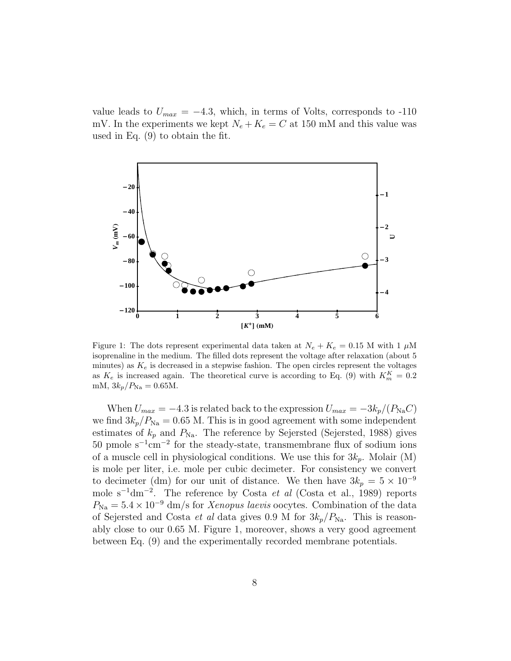value leads to  $U_{max} = -4.3$ , which, in terms of Volts, corresponds to -110 mV. In the experiments we kept  $N_e + K_e = C$  at 150 mM and this value was used in Eq. (9) to obtain the fit.



Figure 1: The dots represent experimental data taken at  $N_e + K_e = 0.15$  M with 1  $\mu$ M isoprenaline in the medium. The filled dots represent the voltage after relaxation (about 5 minutes) as  $K_e$  is decreased in a stepwise fashion. The open circles represent the voltages as  $K_e$  is increased again. The theoretical curve is according to Eq. (9) with  $K_m^K = 0.2$ mM,  $3k_p/P_{\text{Na}} = 0.65$ M.

When  $U_{max} = -4.3$  is related back to the expression  $U_{max} = -3k_p/(P_{\text{Na}}C)$ we find  $3k_p/P_{\text{Na}} = 0.65$  M. This is in good agreement with some independent estimates of  $k_p$  and  $P_{\text{Na}}$ . The reference by Sejersted (Sejersted, 1988) gives 50 pmole s<sup>−</sup><sup>1</sup> cm<sup>−</sup><sup>2</sup> for the steady-state, transmembrane flux of sodium ions of a muscle cell in physiological conditions. We use this for  $3k_p$ . Molair (M) is mole per liter, i.e. mole per cubic decimeter. For consistency we convert to decimeter (dm) for our unit of distance. We then have  $3k_p = 5 \times 10^{-9}$ mole s<sup>-1</sup>dm<sup>-2</sup>. The reference by Costa *et al* (Costa et al., 1989) reports  $P_{\text{Na}} = 5.4 \times 10^{-9}$  dm/s for *Xenopus laevis* oocytes. Combination of the data of Sejersted and Costa et al data gives 0.9 M for  $3k_p/P_{\text{Na}}$ . This is reasonably close to our 0.65 M. Figure 1, moreover, shows a very good agreement between Eq. (9) and the experimentally recorded membrane potentials.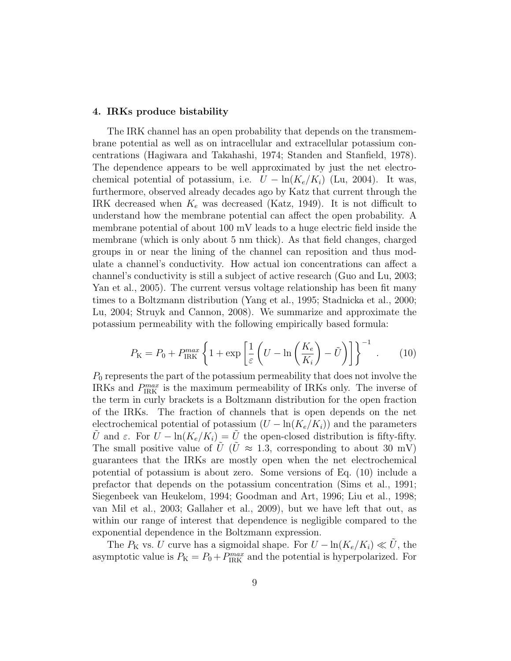# 4. IRKs produce bistability

The IRK channel has an open probability that depends on the transmembrane potential as well as on intracellular and extracellular potassium concentrations (Hagiwara and Takahashi, 1974; Standen and Stanfield, 1978). The dependence appears to be well approximated by just the net electrochemical potential of potassium, i.e.  $U - \ln(K_e/K_i)$  (Lu, 2004). It was, furthermore, observed already decades ago by Katz that current through the IRK decreased when  $K_e$  was decreased (Katz, 1949). It is not difficult to understand how the membrane potential can affect the open probability. A membrane potential of about 100 mV leads to a huge electric field inside the membrane (which is only about 5 nm thick). As that field changes, charged groups in or near the lining of the channel can reposition and thus modulate a channel's conductivity. How actual ion concentrations can affect a channel's conductivity is still a subject of active research (Guo and Lu, 2003; Yan et al., 2005). The current versus voltage relationship has been fit many times to a Boltzmann distribution (Yang et al., 1995; Stadnicka et al., 2000; Lu, 2004; Struyk and Cannon, 2008). We summarize and approximate the potassium permeability with the following empirically based formula:

$$
P_{\rm K} = P_0 + P_{\rm IRK}^{max} \left\{ 1 + \exp\left[\frac{1}{\varepsilon} \left(U - \ln\left(\frac{K_e}{K_i}\right) - \tilde{U}\right) \right] \right\}^{-1} \ . \tag{10}
$$

 $P_0$  represents the part of the potassium permeability that does not involve the IRKs and  $P_{\text{IRK}}^{max}$  is the maximum permeability of IRKs only. The inverse of the term in curly brackets is a Boltzmann distribution for the open fraction of the IRKs. The fraction of channels that is open depends on the net electrochemical potential of potassium  $(U - \ln(K_e/K_i))$  and the parameters  $\tilde{U}$  and  $\varepsilon$ . For  $U - \ln(K_e/K_i) = \tilde{U}$  the open-closed distribution is fifty-fifty. The small positive value of U (U  $\approx$  1.3, corresponding to about 30 mV) guarantees that the IRKs are mostly open when the net electrochemical potential of potassium is about zero. Some versions of Eq. (10) include a prefactor that depends on the potassium concentration (Sims et al., 1991; Siegenbeek van Heukelom, 1994; Goodman and Art, 1996; Liu et al., 1998; van Mil et al., 2003; Gallaher et al., 2009), but we have left that out, as within our range of interest that dependence is negligible compared to the exponential dependence in the Boltzmann expression.

The  $P_K$  vs. U curve has a sigmoidal shape. For  $U - \ln(K_e/K_i) \ll U$ , the asymptotic value is  $P_{\rm K} = P_0 + P_{\rm IRK}^{max}$  and the potential is hyperpolarized. For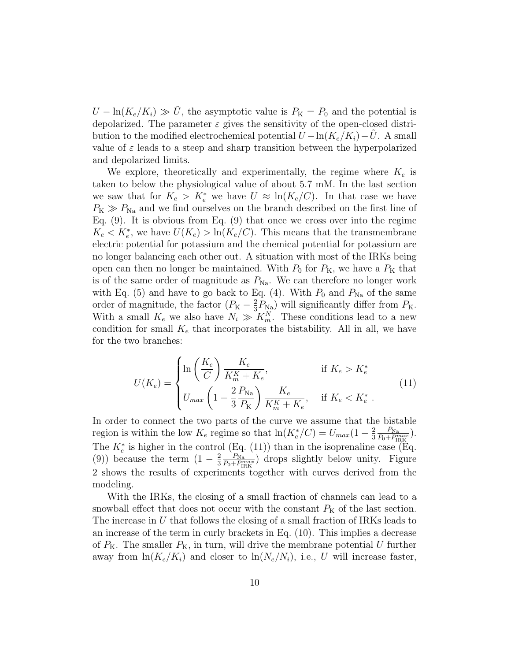$U - \ln(K_e/K_i) \gg U$ , the asymptotic value is  $P_K = P_0$  and the potential is depolarized. The parameter  $\varepsilon$  gives the sensitivity of the open-closed distribution to the modified electrochemical potential  $U - \ln(K_e/K_i) - U$ . A small value of  $\varepsilon$  leads to a steep and sharp transition between the hyperpolarized and depolarized limits.

We explore, theoretically and experimentally, the regime where  $K_e$  is taken to below the physiological value of about 5.7 mM. In the last section we saw that for  $K_e > K_e^*$  we have  $U \approx \ln(K_e/C)$ . In that case we have  $P_{\rm K} \gg P_{\rm Na}$  and we find ourselves on the branch described on the first line of Eq. (9). It is obvious from Eq. (9) that once we cross over into the regime  $K_e < K_e^*$ , we have  $U(K_e) > \ln(K_e/C)$ . This means that the transmembrane electric potential for potassium and the chemical potential for potassium are no longer balancing each other out. A situation with most of the IRKs being open can then no longer be maintained. With  $P_0$  for  $P_K$ , we have a  $P_K$  that is of the same order of magnitude as  $P_{\text{Na}}$ . We can therefore no longer work with Eq. (5) and have to go back to Eq. (4). With  $P_0$  and  $P_{Na}$  of the same order of magnitude, the factor  $(P_{K} - \frac{2}{3})$  $\frac{2}{3}P_{\text{Na}}$ ) will significantly differ from  $P_{\text{K}}$ . With a small  $K_e$  we also have  $N_i \gg K_m^N$ . These conditions lead to a new condition for small  $K_e$  that incorporates the bistability. All in all, we have for the two branches:

$$
U(K_e) = \begin{cases} \ln\left(\frac{K_e}{C}\right) \frac{K_e}{K_m^K + K_e}, & \text{if } K_e > K_e^*\\ U_{max} \left(1 - \frac{2}{3} \frac{P_{\text{Na}}}{P_{\text{K}}}\right) \frac{K_e}{K_m^K + K_e}, & \text{if } K_e < K_e^* \end{cases}
$$
(11)

In order to connect the two parts of the curve we assume that the bistable region is within the low  $K_e$  regime so that  $\ln(K_e^*/C) = U_{max}(1 - \frac{2}{3})$ 3  $\frac{P_{\text{Na}}}{P_0+P_{\text{IBK}}^{max}}$ ). The  $K_e^*$  is higher in the control (Eq. (11)) than in the isoprenaline case (Eq. (9)) because the term  $(1-\frac{2}{3})$ 3  $\frac{P_{\text{Na}}}{P_0+P_{\text{IRK}}^{max}}$ ) drops slightly below unity. Figure 2 shows the results of experiments together with curves derived from the modeling.

With the IRKs, the closing of a small fraction of channels can lead to a snowball effect that does not occur with the constant  $P<sub>K</sub>$  of the last section. The increase in  $U$  that follows the closing of a small fraction of IRKs leads to an increase of the term in curly brackets in Eq. (10). This implies a decrease of  $P_{\rm K}$ . The smaller  $P_{\rm K}$ , in turn, will drive the membrane potential U further away from  $\ln(K_e/K_i)$  and closer to  $\ln(N_e/N_i)$ , i.e., U will increase faster,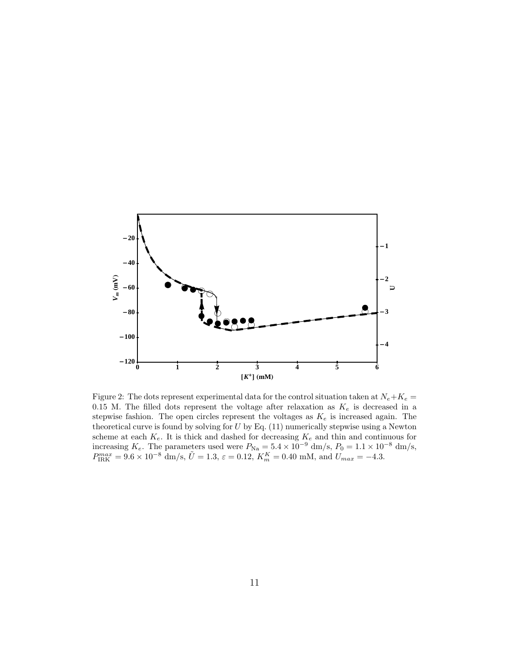

Figure 2: The dots represent experimental data for the control situation taken at  $N_e + K_e =$ 0.15 M. The filled dots represent the voltage after relaxation as  $K_e$  is decreased in a stepwise fashion. The open circles represent the voltages as  $K_e$  is increased again. The theoretical curve is found by solving for  $U$  by Eq.  $(11)$  numerically stepwise using a Newton scheme at each  $K_e$ . It is thick and dashed for decreasing  $K_e$  and thin and continuous for increasing  $K_e$ . The parameters used were  $P_{\text{Na}} = 5.4 \times 10^{-9}$  dm/s,  $P_0 = 1.1 \times 10^{-8}$  dm/s,  $P_{\text{IRK}}^{max} = 9.6 \times 10^{-8} \text{ dm/s}, \, \tilde{U} = 1.3, \, \varepsilon = 0.12, \, K_m^K = 0.40 \text{ mM}, \, \text{and } U_{max} = -4.3.$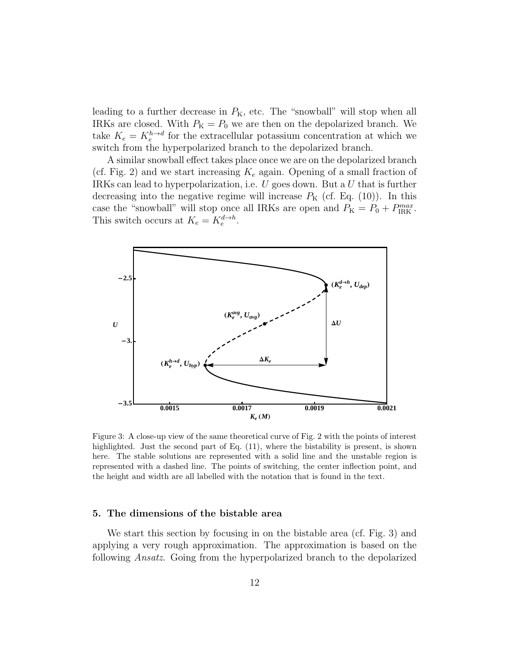leading to a further decrease in  $P_{K}$ , etc. The "snowball" will stop when all IRKs are closed. With  $P_{\rm K} = P_0$  we are then on the depolarized branch. We take  $K_e = K_e^{h \to d}$  for the extracellular potassium concentration at which we switch from the hyperpolarized branch to the depolarized branch.

A similar snowball effect takes place once we are on the depolarized branch (cf. Fig. 2) and we start increasing  $K_e$  again. Opening of a small fraction of IRKs can lead to hyperpolarization, i.e.  $U$  goes down. But a  $U$  that is further decreasing into the negative regime will increase  $P_{\rm K}$  (cf. Eq. (10)). In this case the "snowball" will stop once all IRKs are open and  $P_{\rm K} = P_0 + P_{\rm IRK}^{max}$ . This switch occurs at  $K_e = K_e^{d \to h}$ .



Figure 3: A close-up view of the same theoretical curve of Fig. 2 with the points of interest highlighted. Just the second part of Eq. (11), where the bistability is present, is shown here. The stable solutions are represented with a solid line and the unstable region is represented with a dashed line. The points of switching, the center inflection point, and the height and width are all labelled with the notation that is found in the text.

# 5. The dimensions of the bistable area

We start this section by focusing in on the bistable area (cf. Fig. 3) and applying a very rough approximation. The approximation is based on the following Ansatz. Going from the hyperpolarized branch to the depolarized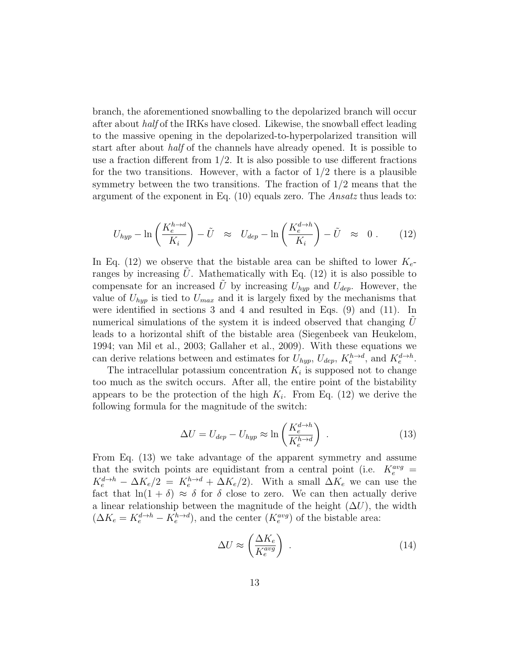branch, the aforementioned snowballing to the depolarized branch will occur after about half of the IRKs have closed. Likewise, the snowball effect leading to the massive opening in the depolarized-to-hyperpolarized transition will start after about half of the channels have already opened. It is possible to use a fraction different from  $1/2$ . It is also possible to use different fractions for the two transitions. However, with a factor of  $1/2$  there is a plausible symmetry between the two transitions. The fraction of 1/2 means that the argument of the exponent in Eq. (10) equals zero. The Ansatz thus leads to:

$$
U_{hyp} - \ln\left(\frac{K_e^{h \to d}}{K_i}\right) - \tilde{U} \approx U_{dep} - \ln\left(\frac{K_e^{d \to h}}{K_i}\right) - \tilde{U} \approx 0. \quad (12)
$$

In Eq. (12) we observe that the bistable area can be shifted to lower  $K_{e^-}$ ranges by increasing  $U$ . Mathematically with Eq. (12) it is also possible to compensate for an increased  $\tilde{U}$  by increasing  $U_{hyp}$  and  $U_{dep}$ . However, the value of  $U_{hyp}$  is tied to  $U_{max}$  and it is largely fixed by the mechanisms that were identified in sections 3 and 4 and resulted in Eqs. (9) and (11). In numerical simulations of the system it is indeed observed that changing  $U$ leads to a horizontal shift of the bistable area (Siegenbeek van Heukelom, 1994; van Mil et al., 2003; Gallaher et al., 2009). With these equations we can derive relations between and estimates for  $U_{hyp}$ ,  $U_{dep}$ ,  $K_e^{h\to d}$ , and  $K_e^{d\to h}$ .

The intracellular potassium concentration  $K_i$  is supposed not to change too much as the switch occurs. After all, the entire point of the bistability appears to be the protection of the high  $K_i$ . From Eq. (12) we derive the following formula for the magnitude of the switch:

$$
\Delta U = U_{dep} - U_{hyp} \approx \ln \left( \frac{K_e^{d \to h}}{K_e^{h \to d}} \right) \,. \tag{13}
$$

From Eq. (13) we take advantage of the apparent symmetry and assume that the switch points are equidistant from a central point (i.e.  $K_e^{avg}$  =  $K_e^{d\to h} - \Delta K_e/2 = K_e^{h\to d} + \Delta K_e/2$ . With a small  $\Delta K_e$  we can use the fact that  $ln(1 + \delta) \approx \delta$  for  $\delta$  close to zero. We can then actually derive a linear relationship between the magnitude of the height  $(\Delta U)$ , the width  $(\Delta K_e = K_e^{d \to h} - K_e^{h \to d})$ , and the center  $(K_e^{avg})$  of the bistable area:

$$
\Delta U \approx \left(\frac{\Delta K_e}{K_e^{avg}}\right) \tag{14}
$$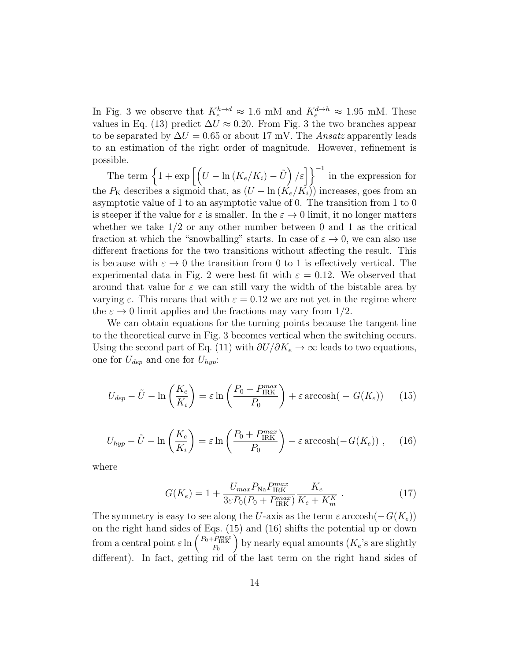In Fig. 3 we observe that  $K_e^{h\to d} \approx 1.6$  mM and  $K_e^{d\to h} \approx 1.95$  mM. These values in Eq. (13) predict  $\Delta U \approx 0.20$ . From Fig. 3 the two branches appear to be separated by  $\Delta U = 0.65$  or about 17 mV. The Ansatz apparently leads to an estimation of the right order of magnitude. However, refinement is possible.

The term  $\left\{1 + \exp\left[\left(U - \ln(K_e/K_i) - \tilde{U}\right)/\varepsilon\right]\right\}^{-1}$  in the expression for the  $P_K$  describes a sigmoid that, as  $(U - \ln(K_e/K_i))$  increases, goes from an asymptotic value of 1 to an asymptotic value of 0. The transition from 1 to 0 is steeper if the value for  $\varepsilon$  is smaller. In the  $\varepsilon \to 0$  limit, it no longer matters whether we take  $1/2$  or any other number between 0 and 1 as the critical fraction at which the "snowballing" starts. In case of  $\varepsilon \to 0$ , we can also use different fractions for the two transitions without affecting the result. This is because with  $\varepsilon \to 0$  the transition from 0 to 1 is effectively vertical. The experimental data in Fig. 2 were best fit with  $\varepsilon = 0.12$ . We observed that around that value for  $\varepsilon$  we can still vary the width of the bistable area by varying  $\varepsilon$ . This means that with  $\varepsilon = 0.12$  we are not yet in the regime where the  $\varepsilon \to 0$  limit applies and the fractions may vary from 1/2.

We can obtain equations for the turning points because the tangent line to the theoretical curve in Fig. 3 becomes vertical when the switching occurs. Using the second part of Eq. (11) with  $\partial U/\partial K_e \to \infty$  leads to two equations, one for  $U_{dep}$  and one for  $U_{hyp}$ :

$$
U_{dep} - \tilde{U} - \ln\left(\frac{K_e}{K_i}\right) = \varepsilon \ln\left(\frac{P_0 + P_{IRK}^{max}}{P_0}\right) + \varepsilon \operatorname{arccosh}(-G(K_e)) \tag{15}
$$

$$
U_{hyp} - \tilde{U} - \ln\left(\frac{K_e}{K_i}\right) = \varepsilon \ln\left(\frac{P_0 + P_{\text{IRK}}^{max}}{P_0}\right) - \varepsilon \operatorname{arccosh}(-G(K_e)), \quad (16)
$$

where

$$
G(K_e) = 1 + \frac{U_{max} P_{\text{Na}} P_{\text{IRK}}^{max}}{3\varepsilon P_0 (P_0 + P_{\text{IRK}}^{max})} \frac{K_e}{K_e + K_m^K} \,. \tag{17}
$$

The symmetry is easy to see along the U-axis as the term  $\varepsilon \arccosh(-G(K_e))$ on the right hand sides of Eqs. (15) and (16) shifts the potential up or down from a central point  $\varepsilon \ln \left( \frac{P_0 + P_{\text{IRK}}^{max}}{P_0} \right)$ ) by nearly equal amounts  $(K_e)$ 's are slightly different). In fact, getting rid of the last term on the right hand sides of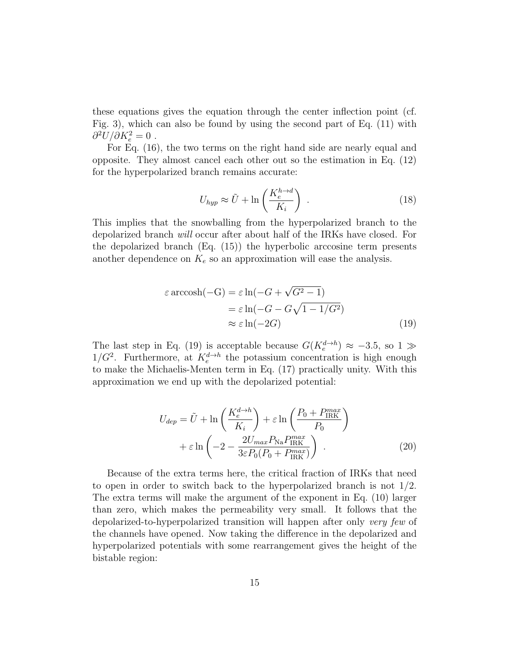these equations gives the equation through the center inflection point (cf. Fig. 3), which can also be found by using the second part of Eq. (11) with  $\partial^2 U/\partial K_e^2=0$ .

For Eq. (16), the two terms on the right hand side are nearly equal and opposite. They almost cancel each other out so the estimation in Eq. (12) for the hyperpolarized branch remains accurate:

$$
U_{hyp} \approx \tilde{U} + \ln\left(\frac{K_e^{h \to d}}{K_i}\right) \tag{18}
$$

This implies that the snowballing from the hyperpolarized branch to the depolarized branch will occur after about half of the IRKs have closed. For the depolarized branch (Eq. (15)) the hyperbolic arccosine term presents another dependence on  $K_e$  so an approximation will ease the analysis.

$$
\varepsilon \operatorname{arccosh}(-G) = \varepsilon \ln(-G + \sqrt{G^2 - 1})
$$

$$
= \varepsilon \ln(-G - G\sqrt{1 - 1/G^2})
$$

$$
\approx \varepsilon \ln(-2G) \tag{19}
$$

The last step in Eq. (19) is acceptable because  $G(K_e^{d\rightarrow h}) \approx -3.5$ , so 1  $\gg$  $1/G^2$ . Furthermore, at  $K_e^{d\rightarrow h}$  the potassium concentration is high enough to make the Michaelis-Menten term in Eq. (17) practically unity. With this approximation we end up with the depolarized potential:

$$
U_{dep} = \tilde{U} + \ln\left(\frac{K_e^{d \to h}}{K_i}\right) + \varepsilon \ln\left(\frac{P_0 + P_{IRK}^{max}}{P_0}\right) + \varepsilon \ln\left(-2 - \frac{2U_{max}P_{\text{Na}}P_{\text{IRK}}^{max}}{3\varepsilon P_0(P_0 + P_{\text{IRK}}^{max})}\right) \tag{20}
$$

Because of the extra terms here, the critical fraction of IRKs that need to open in order to switch back to the hyperpolarized branch is not  $1/2$ . The extra terms will make the argument of the exponent in Eq. (10) larger than zero, which makes the permeability very small. It follows that the depolarized-to-hyperpolarized transition will happen after only very few of the channels have opened. Now taking the difference in the depolarized and hyperpolarized potentials with some rearrangement gives the height of the bistable region: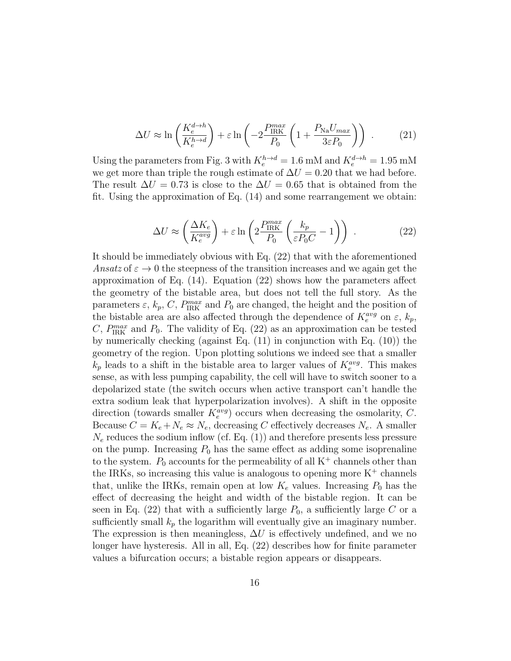$$
\Delta U \approx \ln \left( \frac{K_e^{d \to h}}{K_e^{h \to d}} \right) + \varepsilon \ln \left( -2 \frac{P_{\text{IRK}}^{max}}{P_0} \left( 1 + \frac{P_{\text{Na}} U_{\text{max}}}{3 \varepsilon P_0} \right) \right) \tag{21}
$$

Using the parameters from Fig. 3 with  $K_e^{h\to d} = 1.6$  mM and  $K_e^{d\to h} = 1.95$  mM we get more than triple the rough estimate of  $\Delta U = 0.20$  that we had before. The result  $\Delta U = 0.73$  is close to the  $\Delta U = 0.65$  that is obtained from the fit. Using the approximation of Eq. (14) and some rearrangement we obtain:

$$
\Delta U \approx \left(\frac{\Delta K_e}{K_e^{avg}}\right) + \varepsilon \ln \left(2 \frac{P_{\text{IRK}}^{max}}{P_0} \left(\frac{k_p}{\varepsilon P_0 C} - 1\right)\right) \tag{22}
$$

It should be immediately obvious with Eq. (22) that with the aforementioned Ansatz of  $\varepsilon \to 0$  the steepness of the transition increases and we again get the approximation of Eq. (14). Equation (22) shows how the parameters affect the geometry of the bistable area, but does not tell the full story. As the parameters  $\varepsilon$ ,  $k_p$ , C,  $P_{\text{IRK}}^{max}$  and  $P_0$  are changed, the height and the position of the bistable area are also affected through the dependence of  $K_e^{avg}$  on  $\varepsilon$ ,  $k_p$ , C,  $P_{\text{IRK}}^{max}$  and  $P_0$ . The validity of Eq. (22) as an approximation can be tested by numerically checking (against Eq. (11) in conjunction with Eq. (10)) the geometry of the region. Upon plotting solutions we indeed see that a smaller  $k_p$  leads to a shift in the bistable area to larger values of  $K_e^{avg}$ . This makes sense, as with less pumping capability, the cell will have to switch sooner to a depolarized state (the switch occurs when active transport can't handle the extra sodium leak that hyperpolarization involves). A shift in the opposite direction (towards smaller  $K_e^{avg}$ ) occurs when decreasing the osmolarity, C. Because  $C = K_e + N_e \approx N_e$ , decreasing C effectively decreases  $N_e$ . A smaller  $N_e$  reduces the sodium inflow (cf. Eq. (1)) and therefore presents less pressure on the pump. Increasing  $P_0$  has the same effect as adding some isoprenaline to the system.  $P_0$  accounts for the permeability of all  $K^+$  channels other than the IRKs, so increasing this value is analogous to opening more  $K^+$  channels that, unlike the IRKs, remain open at low  $K_e$  values. Increasing  $P_0$  has the effect of decreasing the height and width of the bistable region. It can be seen in Eq. (22) that with a sufficiently large  $P_0$ , a sufficiently large C or a sufficiently small  $k_p$  the logarithm will eventually give an imaginary number. The expression is then meaningless,  $\Delta U$  is effectively undefined, and we no longer have hysteresis. All in all, Eq. (22) describes how for finite parameter values a bifurcation occurs; a bistable region appears or disappears.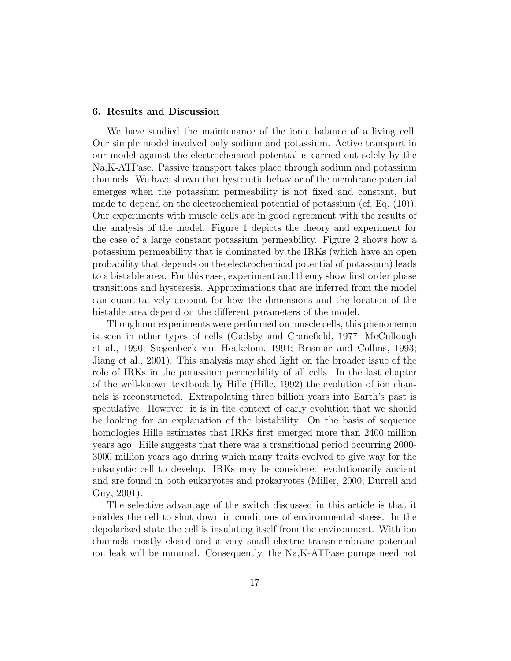## 6. Results and Discussion

We have studied the maintenance of the ionic balance of a living cell. Our simple model involved only sodium and potassium. Active transport in our model against the electrochemical potential is carried out solely by the Na,K-ATPase. Passive transport takes place through sodium and potassium channels. We have shown that hysteretic behavior of the membrane potential emerges when the potassium permeability is not fixed and constant, but made to depend on the electrochemical potential of potassium (cf. Eq. (10)). Our experiments with muscle cells are in good agreement with the results of the analysis of the model. Figure 1 depicts the theory and experiment for the case of a large constant potassium permeability. Figure 2 shows how a potassium permeability that is dominated by the IRKs (which have an open probability that depends on the electrochemical potential of potassium) leads to a bistable area. For this case, experiment and theory show first order phase transitions and hysteresis. Approximations that are inferred from the model can quantitatively account for how the dimensions and the location of the bistable area depend on the different parameters of the model.

Though our experiments were performed on muscle cells, this phenomenon is seen in other types of cells (Gadsby and Cranefield, 1977; McCullough et al., 1990; Siegenbeek van Heukelom, 1991; Brismar and Collins, 1993; Jiang et al., 2001). This analysis may shed light on the broader issue of the role of IRKs in the potassium permeability of all cells. In the last chapter of the well-known textbook by Hille (Hille, 1992) the evolution of ion channels is reconstructed. Extrapolating three billion years into Earth's past is speculative. However, it is in the context of early evolution that we should be looking for an explanation of the bistability. On the basis of sequence homologies Hille estimates that IRKs first emerged more than 2400 million years ago. Hille suggests that there was a transitional period occurring 2000- 3000 million years ago during which many traits evolved to give way for the eukaryotic cell to develop. IRKs may be considered evolutionarily ancient and are found in both eukaryotes and prokaryotes (Miller, 2000; Durrell and Guy, 2001).

The selective advantage of the switch discussed in this article is that it enables the cell to shut down in conditions of environmental stress. In the depolarized state the cell is insulating itself from the environment. With ion channels mostly closed and a very small electric transmembrane potential ion leak will be minimal. Consequently, the Na,K-ATPase pumps need not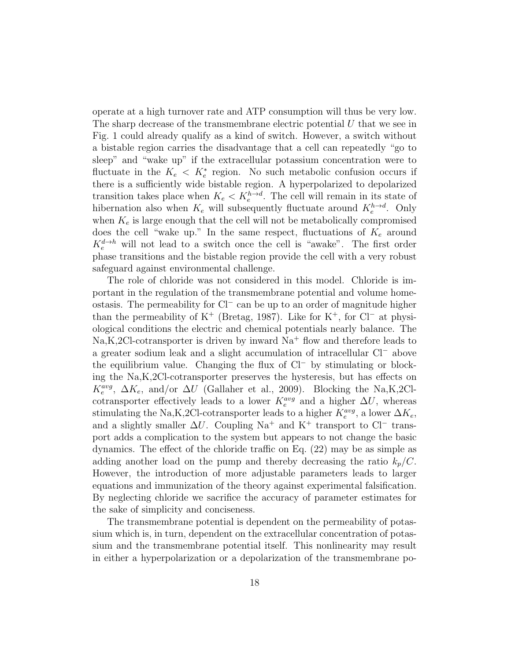operate at a high turnover rate and ATP consumption will thus be very low. The sharp decrease of the transmembrane electric potential  $U$  that we see in Fig. 1 could already qualify as a kind of switch. However, a switch without a bistable region carries the disadvantage that a cell can repeatedly "go to sleep" and "wake up" if the extracellular potassium concentration were to fluctuate in the  $K_e < K_e^*$  region. No such metabolic confusion occurs if there is a sufficiently wide bistable region. A hyperpolarized to depolarized transition takes place when  $K_e < K_e^{h\to d}$ . The cell will remain in its state of hibernation also when  $K_e$  will subsequently fluctuate around  $K_e^{h\to d}$ . Only when  $K_e$  is large enough that the cell will not be metabolically compromised does the cell "wake up." In the same respect, fluctuations of  $K_e$  around  $K_e^{d\rightarrow h}$  will not lead to a switch once the cell is "awake". The first order phase transitions and the bistable region provide the cell with a very robust safeguard against environmental challenge.

The role of chloride was not considered in this model. Chloride is important in the regulation of the transmembrane potential and volume homeostasis. The permeability for Cl<sup>−</sup> can be up to an order of magnitude higher than the permeability of K<sup>+</sup> (Bretag, 1987). Like for K<sup>+</sup>, for Cl<sup>−</sup> at physiological conditions the electric and chemical potentials nearly balance. The  $Na, K, 2Cl$ -cotransporter is driven by inward  $Na<sup>+</sup>$  flow and therefore leads to a greater sodium leak and a slight accumulation of intracellular Cl<sup>−</sup> above the equilibrium value. Changing the flux of Cl<sup>−</sup> by stimulating or blocking the Na,K,2Cl-cotransporter preserves the hysteresis, but has effects on  $K_e^{avg}$ ,  $\Delta K_e$ , and/or  $\Delta U$  (Gallaher et al., 2009). Blocking the Na,K,2Clcotransporter effectively leads to a lower  $K_e^{avg}$  and a higher  $\Delta U$ , whereas stimulating the Na,K,2Cl-cotransporter leads to a higher  $K_e^{avg}$ , a lower  $\Delta K_e$ , and a slightly smaller  $\Delta U$ . Coupling Na<sup>+</sup> and K<sup>+</sup> transport to Cl<sup>−</sup> transport adds a complication to the system but appears to not change the basic dynamics. The effect of the chloride traffic on Eq. (22) may be as simple as adding another load on the pump and thereby decreasing the ratio  $k_p/C$ . However, the introduction of more adjustable parameters leads to larger equations and immunization of the theory against experimental falsification. By neglecting chloride we sacrifice the accuracy of parameter estimates for the sake of simplicity and conciseness.

The transmembrane potential is dependent on the permeability of potassium which is, in turn, dependent on the extracellular concentration of potassium and the transmembrane potential itself. This nonlinearity may result in either a hyperpolarization or a depolarization of the transmembrane po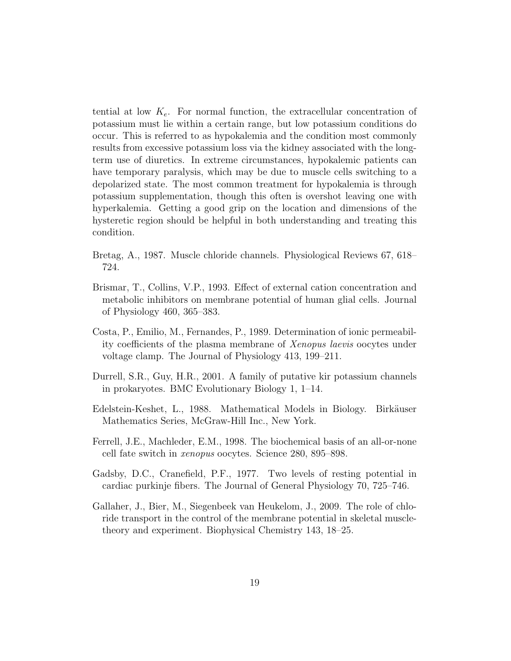tential at low  $K_e$ . For normal function, the extracellular concentration of potassium must lie within a certain range, but low potassium conditions do occur. This is referred to as hypokalemia and the condition most commonly results from excessive potassium loss via the kidney associated with the longterm use of diuretics. In extreme circumstances, hypokalemic patients can have temporary paralysis, which may be due to muscle cells switching to a depolarized state. The most common treatment for hypokalemia is through potassium supplementation, though this often is overshot leaving one with hyperkalemia. Getting a good grip on the location and dimensions of the hysteretic region should be helpful in both understanding and treating this condition.

- Bretag, A., 1987. Muscle chloride channels. Physiological Reviews 67, 618– 724.
- Brismar, T., Collins, V.P., 1993. Effect of external cation concentration and metabolic inhibitors on membrane potential of human glial cells. Journal of Physiology 460, 365–383.
- Costa, P., Emilio, M., Fernandes, P., 1989. Determination of ionic permeability coefficients of the plasma membrane of Xenopus laevis oocytes under voltage clamp. The Journal of Physiology 413, 199–211.
- Durrell, S.R., Guy, H.R., 2001. A family of putative kir potassium channels in prokaryotes. BMC Evolutionary Biology 1, 1–14.
- Edelstein-Keshet, L., 1988. Mathematical Models in Biology. Birkäuser Mathematics Series, McGraw-Hill Inc., New York.
- Ferrell, J.E., Machleder, E.M., 1998. The biochemical basis of an all-or-none cell fate switch in xenopus oocytes. Science 280, 895–898.
- Gadsby, D.C., Cranefield, P.F., 1977. Two levels of resting potential in cardiac purkinje fibers. The Journal of General Physiology 70, 725–746.
- Gallaher, J., Bier, M., Siegenbeek van Heukelom, J., 2009. The role of chloride transport in the control of the membrane potential in skeletal muscletheory and experiment. Biophysical Chemistry 143, 18–25.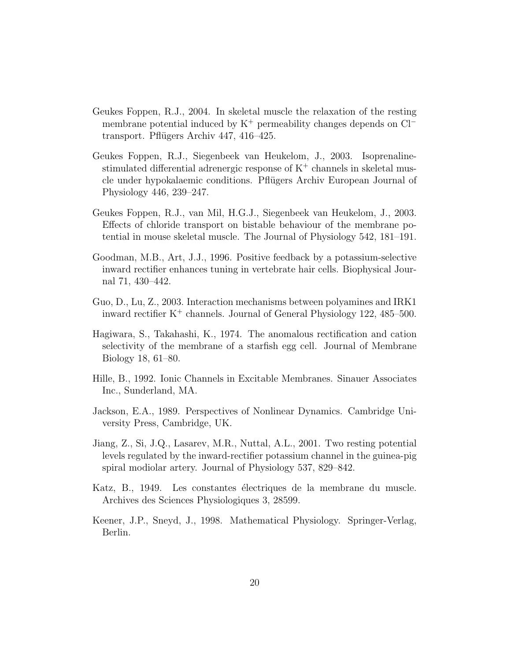- Geukes Foppen, R.J., 2004. In skeletal muscle the relaxation of the resting membrane potential induced by  $K^+$  permeability changes depends on  $Cl^$ transport. Pflügers Archiv 447, 416–425.
- Geukes Foppen, R.J., Siegenbeek van Heukelom, J., 2003. Isoprenalinestimulated differential adrenergic response of  $K^+$  channels in skeletal muscle under hypokalaemic conditions. Pflügers Archiv European Journal of Physiology 446, 239–247.
- Geukes Foppen, R.J., van Mil, H.G.J., Siegenbeek van Heukelom, J., 2003. Effects of chloride transport on bistable behaviour of the membrane potential in mouse skeletal muscle. The Journal of Physiology 542, 181–191.
- Goodman, M.B., Art, J.J., 1996. Positive feedback by a potassium-selective inward rectifier enhances tuning in vertebrate hair cells. Biophysical Journal 71, 430–442.
- Guo, D., Lu, Z., 2003. Interaction mechanisms between polyamines and IRK1 inward rectifier  $K^+$  channels. Journal of General Physiology 122, 485–500.
- Hagiwara, S., Takahashi, K., 1974. The anomalous rectification and cation selectivity of the membrane of a starfish egg cell. Journal of Membrane Biology 18, 61–80.
- Hille, B., 1992. Ionic Channels in Excitable Membranes. Sinauer Associates Inc., Sunderland, MA.
- Jackson, E.A., 1989. Perspectives of Nonlinear Dynamics. Cambridge University Press, Cambridge, UK.
- Jiang, Z., Si, J.Q., Lasarev, M.R., Nuttal, A.L., 2001. Two resting potential levels regulated by the inward-rectifier potassium channel in the guinea-pig spiral modiolar artery. Journal of Physiology 537, 829–842.
- Katz, B., 1949. Les constantes électriques de la membrane du muscle. Archives des Sciences Physiologiques 3, 28599.
- Keener, J.P., Sneyd, J., 1998. Mathematical Physiology. Springer-Verlag, Berlin.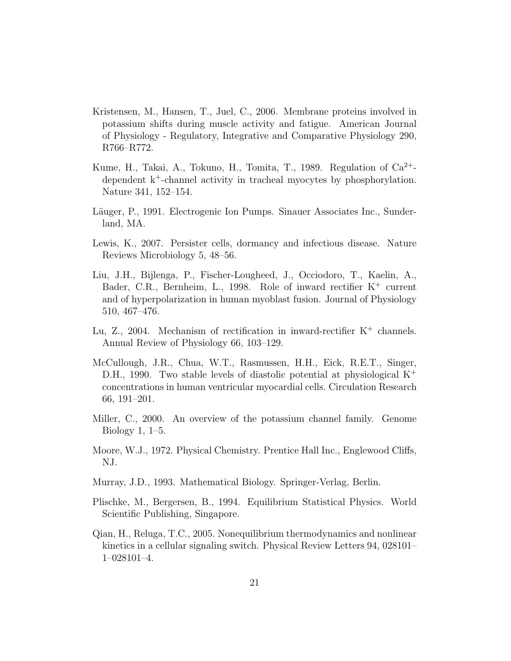- Kristensen, M., Hansen, T., Juel, C., 2006. Membrane proteins involved in potassium shifts during muscle activity and fatigue. American Journal of Physiology - Regulatory, Integrative and Comparative Physiology 290, R766–R772.
- Kume, H., Takai, A., Tokuno, H., Tomita, T., 1989. Regulation of  $Ca^{2+}$ dependent k<sup>+</sup>-channel activity in tracheal myocytes by phosphorylation. Nature 341, 152–154.
- Läuger, P., 1991. Electrogenic Ion Pumps. Sinauer Associates Inc., Sunderland, MA.
- Lewis, K., 2007. Persister cells, dormancy and infectious disease. Nature Reviews Microbiology 5, 48–56.
- Liu, J.H., Bijlenga, P., Fischer-Lougheed, J., Occiodoro, T., Kaelin, A., Bader, C.R., Bernheim, L., 1998. Role of inward rectifier K<sup>+</sup> current and of hyperpolarization in human myoblast fusion. Journal of Physiology 510, 467–476.
- Lu, Z., 2004. Mechanism of rectification in inward-rectifier  $K^+$  channels. Annual Review of Physiology 66, 103–129.
- McCullough, J.R., Chua, W.T., Rasmussen, H.H., Eick, R.E.T., Singer, D.H., 1990. Two stable levels of diastolic potential at physiological  $K^+$ concentrations in human ventricular myocardial cells. Circulation Research 66, 191–201.
- Miller, C., 2000. An overview of the potassium channel family. Genome Biology 1, 1–5.
- Moore, W.J., 1972. Physical Chemistry. Prentice Hall Inc., Englewood Cliffs, NJ.
- Murray, J.D., 1993. Mathematical Biology. Springer-Verlag, Berlin.
- Plischke, M., Bergersen, B., 1994. Equilibrium Statistical Physics. World Scientific Publishing, Singapore.
- Qian, H., Reluga, T.C., 2005. Nonequilibrium thermodynamics and nonlinear kinetics in a cellular signaling switch. Physical Review Letters 94, 028101– 1–028101–4.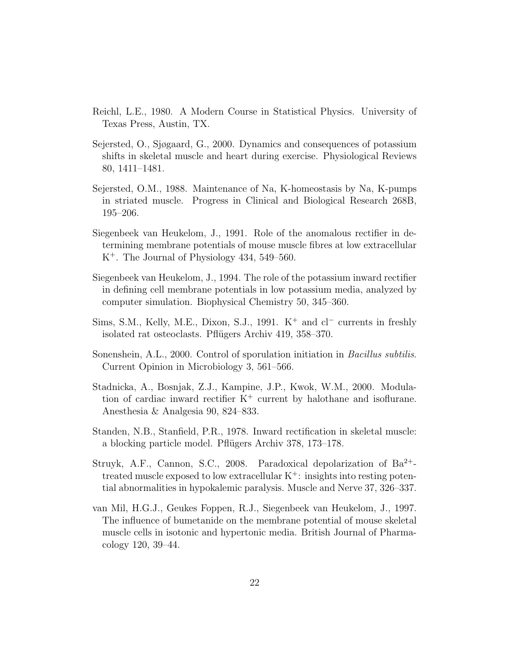- Reichl, L.E., 1980. A Modern Course in Statistical Physics. University of Texas Press, Austin, TX.
- Sejersted, O., Sjøgaard, G., 2000. Dynamics and consequences of potassium shifts in skeletal muscle and heart during exercise. Physiological Reviews 80, 1411–1481.
- Sejersted, O.M., 1988. Maintenance of Na, K-homeostasis by Na, K-pumps in striated muscle. Progress in Clinical and Biological Research 268B, 195–206.
- Siegenbeek van Heukelom, J., 1991. Role of the anomalous rectifier in determining membrane potentials of mouse muscle fibres at low extracellular K<sup>+</sup>. The Journal of Physiology 434, 549–560.
- Siegenbeek van Heukelom, J., 1994. The role of the potassium inward rectifier in defining cell membrane potentials in low potassium media, analyzed by computer simulation. Biophysical Chemistry 50, 345–360.
- Sims, S.M., Kelly, M.E., Dixon, S.J., 1991.  $K^+$  and  $c^-$  currents in freshly isolated rat osteoclasts. Pflügers Archiv 419, 358–370.
- Sonenshein, A.L., 2000. Control of sporulation initiation in *Bacillus subtilis.* Current Opinion in Microbiology 3, 561–566.
- Stadnicka, A., Bosnjak, Z.J., Kampine, J.P., Kwok, W.M., 2000. Modulation of cardiac inward rectifier  $K^+$  current by halothane and isoflurane. Anesthesia & Analgesia 90, 824–833.
- Standen, N.B., Stanfield, P.R., 1978. Inward rectification in skeletal muscle: a blocking particle model. Pflügers Archiv 378, 173–178.
- Struyk, A.F., Cannon, S.C., 2008. Paradoxical depolarization of  $Ba^{2+}$ treated muscle exposed to low extracellular  $K^+$ : insights into resting potential abnormalities in hypokalemic paralysis. Muscle and Nerve 37, 326–337.
- van Mil, H.G.J., Geukes Foppen, R.J., Siegenbeek van Heukelom, J., 1997. The influence of bumetanide on the membrane potential of mouse skeletal muscle cells in isotonic and hypertonic media. British Journal of Pharmacology 120, 39–44.